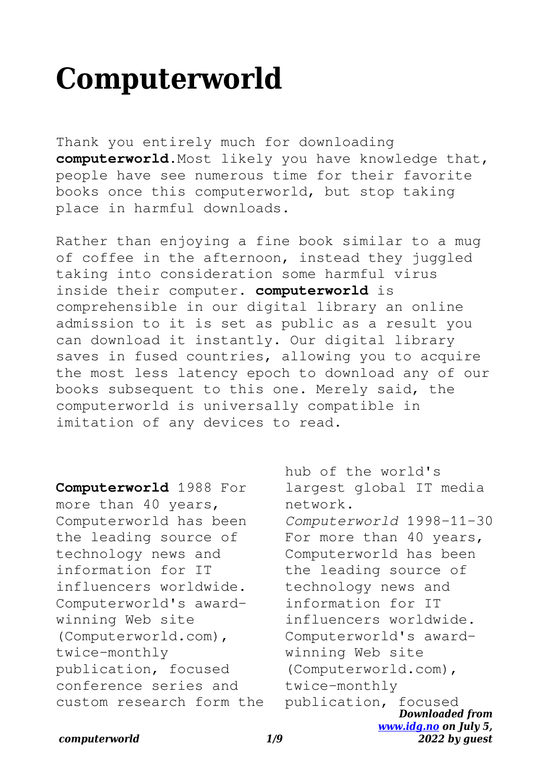# **Computerworld**

Thank you entirely much for downloading **computerworld**.Most likely you have knowledge that, people have see numerous time for their favorite books once this computerworld, but stop taking place in harmful downloads.

Rather than enjoying a fine book similar to a mug of coffee in the afternoon, instead they juggled taking into consideration some harmful virus inside their computer. **computerworld** is comprehensible in our digital library an online admission to it is set as public as a result you can download it instantly. Our digital library saves in fused countries, allowing you to acquire the most less latency epoch to download any of our books subsequent to this one. Merely said, the computerworld is universally compatible in imitation of any devices to read.

**Computerworld** 1988 For more than 40 years, Computerworld has been the leading source of technology news and information for IT influencers worldwide. Computerworld's awardwinning Web site (Computerworld.com), twice-monthly publication, focused conference series and custom research form the

*Downloaded from [www.idg.no](http://www.idg.no) on July 5,* hub of the world's largest global IT media network. *Computerworld* 1998-11-30 For more than 40 years, Computerworld has been the leading source of technology news and information for IT influencers worldwide. Computerworld's awardwinning Web site (Computerworld.com), twice-monthly publication, focused

*2022 by guest*

#### *computerworld 1/9*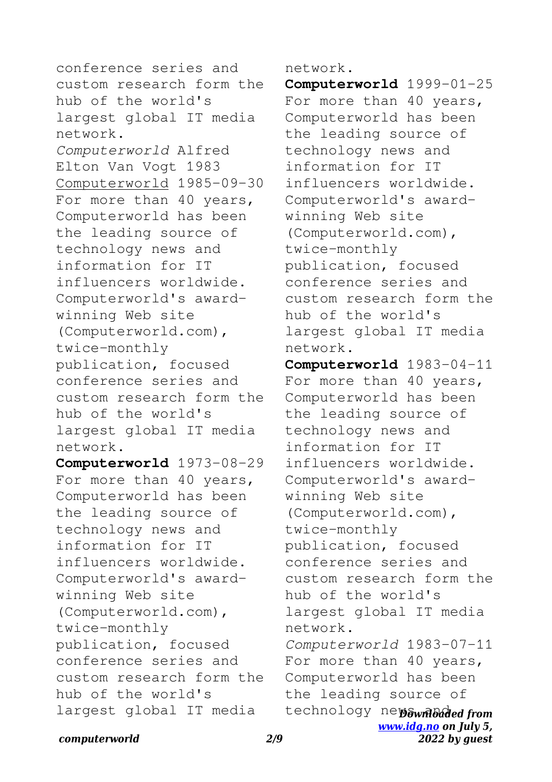conference series and custom research form the hub of the world's largest global IT media network. *Computerworld* Alfred Elton Van Vogt 1983 Computerworld 1985-09-30 For more than 40 years, Computerworld has been the leading source of technology news and information for IT influencers worldwide. Computerworld's awardwinning Web site (Computerworld.com), twice-monthly publication, focused conference series and custom research form the hub of the world's largest global IT media network. **Computerworld** 1973-08-29 For more than 40 years, Computerworld has been the leading source of technology news and information for IT influencers worldwide. Computerworld's awardwinning Web site (Computerworld.com), twice-monthly publication, focused conference series and custom research form the hub of the world's largest global IT media

network.

**Computerworld** 1999-01-25 For more than 40 years, Computerworld has been the leading source of technology news and information for IT influencers worldwide. Computerworld's awardwinning Web site (Computerworld.com), twice-monthly publication, focused conference series and custom research form the hub of the world's largest global IT media network. **Computerworld** 1983-04-11

technology newownloaded from *[www.idg.no](http://www.idg.no) on July 5,* For more than 40 years, Computerworld has been the leading source of technology news and information for IT influencers worldwide. Computerworld's awardwinning Web site (Computerworld.com), twice-monthly publication, focused conference series and custom research form the hub of the world's largest global IT media network. *Computerworld* 1983-07-11 For more than 40 years, Computerworld has been the leading source of

*2022 by guest*

*computerworld 2/9*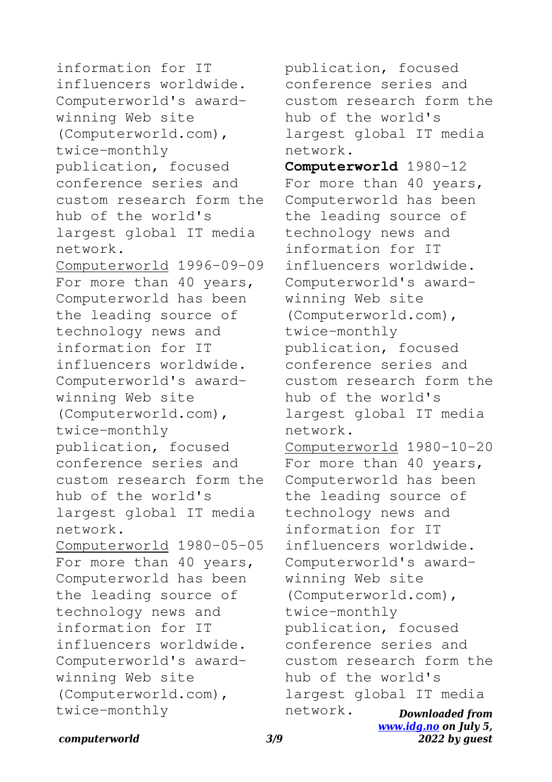information for IT influencers worldwide. Computerworld's awardwinning Web site (Computerworld.com), twice-monthly publication, focused conference series and custom research form the hub of the world's largest global IT media network. Computerworld 1996-09-09 For more than 40 years, Computerworld has been the leading source of technology news and information for IT influencers worldwide. Computerworld's awardwinning Web site (Computerworld.com), twice-monthly publication, focused conference series and custom research form the hub of the world's largest global IT media network. Computerworld 1980-05-05 For more than 40 years, Computerworld has been the leading source of technology news and information for IT influencers worldwide. Computerworld's awardwinning Web site (Computerworld.com), twice-monthly

*Downloaded from [www.idg.no](http://www.idg.no) on July 5,* publication, focused conference series and custom research form the hub of the world's largest global IT media network. **Computerworld** 1980-12 For more than 40 years, Computerworld has been the leading source of technology news and information for IT influencers worldwide. Computerworld's awardwinning Web site (Computerworld.com), twice-monthly publication, focused conference series and custom research form the hub of the world's largest global IT media network. Computerworld 1980-10-20 For more than 40 years, Computerworld has been the leading source of technology news and information for IT influencers worldwide. Computerworld's awardwinning Web site (Computerworld.com), twice-monthly publication, focused conference series and custom research form the hub of the world's largest global IT media network.

*2022 by guest*

*computerworld 3/9*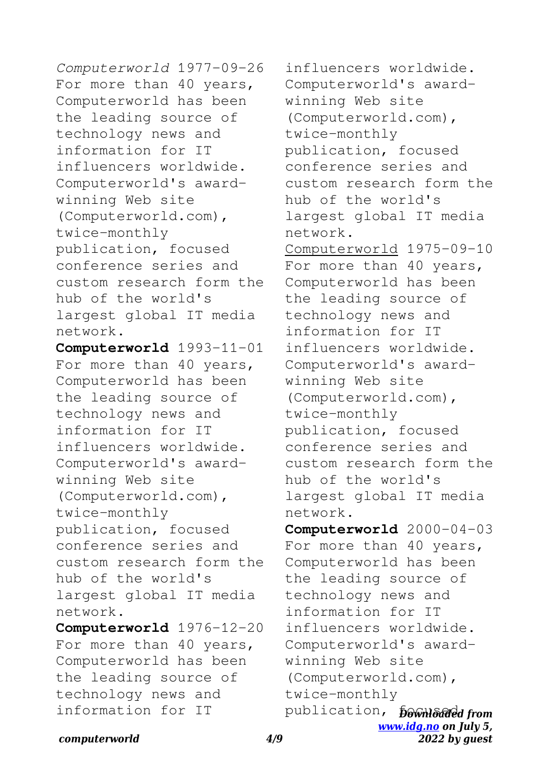*Computerworld* 1977-09-26 For more than 40 years, Computerworld has been the leading source of technology news and information for IT influencers worldwide. Computerworld's awardwinning Web site (Computerworld.com), twice-monthly publication, focused conference series and custom research form the hub of the world's largest global IT media network.

**Computerworld** 1993-11-01 For more than 40 years, Computerworld has been the leading source of technology news and information for IT influencers worldwide. Computerworld's awardwinning Web site (Computerworld.com), twice-monthly publication, focused conference series and custom research form the hub of the world's largest global IT media network. **Computerworld** 1976-12-20

For more than 40 years, Computerworld has been the leading source of technology news and information for IT

publication, *pownloaded from [www.idg.no](http://www.idg.no) on July 5,* influencers worldwide. Computerworld's awardwinning Web site (Computerworld.com), twice-monthly publication, focused conference series and custom research form the hub of the world's largest global IT media network. Computerworld 1975-09-10 For more than 40 years, Computerworld has been the leading source of technology news and information for IT influencers worldwide. Computerworld's awardwinning Web site (Computerworld.com), twice-monthly publication, focused conference series and custom research form the hub of the world's largest global IT media network. **Computerworld** 2000-04-03 For more than 40 years, Computerworld has been the leading source of technology news and information for IT influencers worldwide. Computerworld's awardwinning Web site (Computerworld.com), twice-monthly

*2022 by guest*

### *computerworld 4/9*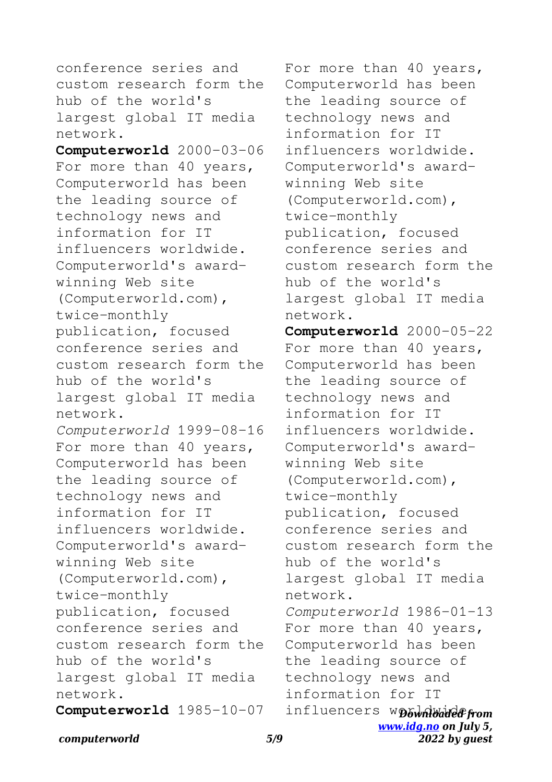conference series and custom research form the hub of the world's largest global IT media network.

**Computerworld** 2000-03-06 For more than 40 years, Computerworld has been the leading source of technology news and information for IT influencers worldwide. Computerworld's awardwinning Web site (Computerworld.com), twice-monthly publication, focused conference series and custom research form the hub of the world's largest global IT media network. *Computerworld* 1999-08-16 For more than 40 years, Computerworld has been the leading source of technology news and information for IT influencers worldwide. Computerworld's awardwinning Web site (Computerworld.com), twice-monthly publication, focused conference series and custom research form the hub of the world's largest global IT media network.

**Computerworld** 1985-10-07

For more than 40 years, Computerworld has been the leading source of technology news and information for IT influencers worldwide. Computerworld's awardwinning Web site (Computerworld.com), twice-monthly publication, focused conference series and custom research form the hub of the world's largest global IT media network.

influencers wpownloadefrom *[www.idg.no](http://www.idg.no) on July 5,* **Computerworld** 2000-05-22 For more than 40 years, Computerworld has been the leading source of technology news and information for IT influencers worldwide. Computerworld's awardwinning Web site (Computerworld.com), twice-monthly publication, focused conference series and custom research form the hub of the world's largest global IT media network. *Computerworld* 1986-01-13 For more than 40 years, Computerworld has been the leading source of technology news and information for IT

*2022 by guest*

*computerworld 5/9*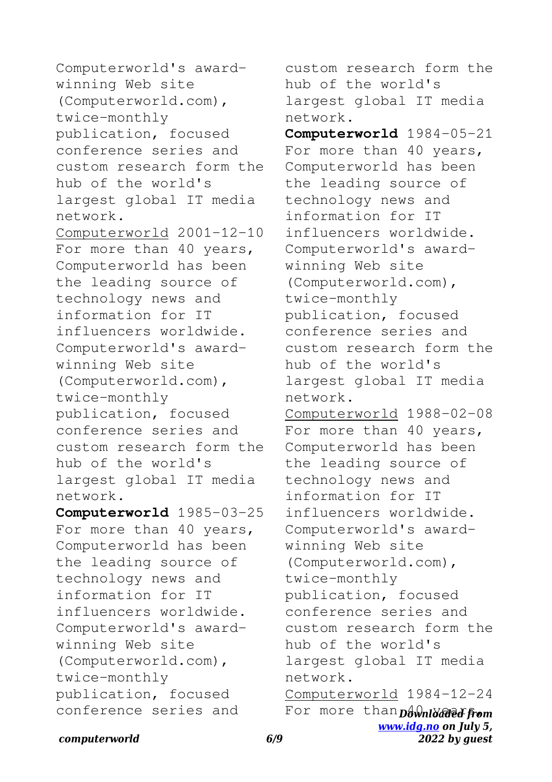Computerworld's awardwinning Web site (Computerworld.com), twice-monthly publication, focused conference series and custom research form the hub of the world's largest global IT media network. Computerworld 2001-12-10 For more than 40 years, Computerworld has been the leading source of technology news and information for IT influencers worldwide. Computerworld's awardwinning Web site (Computerworld.com), twice-monthly publication, focused conference series and custom research form the hub of the world's largest global IT media network. **Computerworld** 1985-03-25 For more than 40 years, Computerworld has been the leading source of technology news and information for IT influencers worldwide. Computerworld's award-

winning Web site (Computerworld.com), twice-monthly publication, focused conference series and custom research form the hub of the world's largest global IT media network. **Computerworld** 1984-05-21 For more than 40 years, Computerworld has been

the leading source of technology news and information for IT influencers worldwide. Computerworld's awardwinning Web site (Computerworld.com), twice-monthly publication, focused conference series and custom research form the hub of the world's largest global IT media network. Computerworld 1988-02-08 For more than 40 years, Computerworld has been the leading source of technology news and information for IT influencers worldwide. Computerworld's awardwinning Web site (Computerworld.com), twice-monthly publication, focused conference series and custom research form the hub of the world's largest global IT media network.

For more than bownloaded from *[www.idg.no](http://www.idg.no) on July 5, 2022 by guest* Computerworld 1984-12-24

## *computerworld 6/9*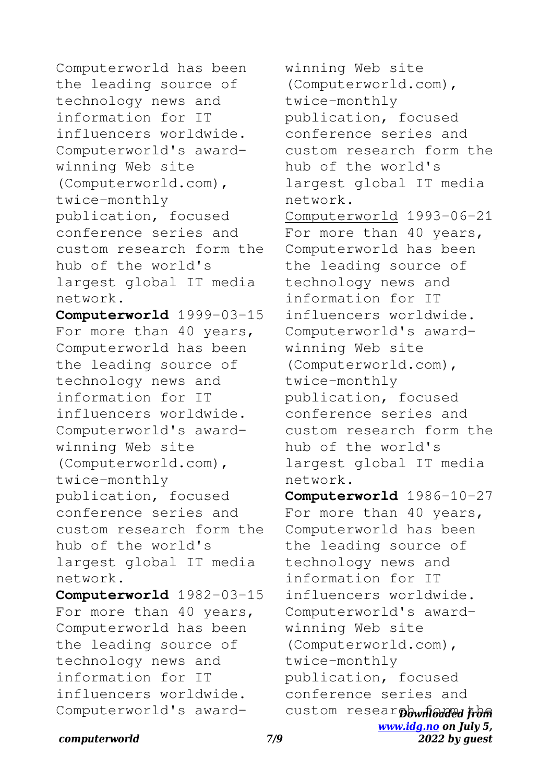Computerworld has been the leading source of technology news and information for IT influencers worldwide. Computerworld's awardwinning Web site (Computerworld.com), twice-monthly publication, focused conference series and custom research form the hub of the world's largest global IT media network.

**Computerworld** 1999-03-15 For more than 40 years, Computerworld has been the leading source of technology news and information for IT influencers worldwide. Computerworld's awardwinning Web site (Computerworld.com), twice-monthly publication, focused conference series and custom research form the hub of the world's largest global IT media network.

**Computerworld** 1982-03-15 For more than 40 years, Computerworld has been the leading source of technology news and information for IT influencers worldwide. Computerworld's awardwinning Web site (Computerworld.com), twice-monthly publication, focused conference series and custom research form the hub of the world's largest global IT media network. Computerworld 1993-06-21 For more than 40 years, Computerworld has been the leading source of technology news and information for IT influencers worldwide. Computerworld's awardwinning Web site (Computerworld.com), twice-monthly publication, focused conference series and custom research form the hub of the world's largest global IT media network. **Computerworld** 1986-10-27 For more than 40 years, Computerworld has been the leading source of

custom resear bownloaded from *[www.idg.no](http://www.idg.no) on July 5,* technology news and information for IT influencers worldwide. Computerworld's awardwinning Web site (Computerworld.com), twice-monthly publication, focused conference series and

*2022 by guest*

*computerworld 7/9*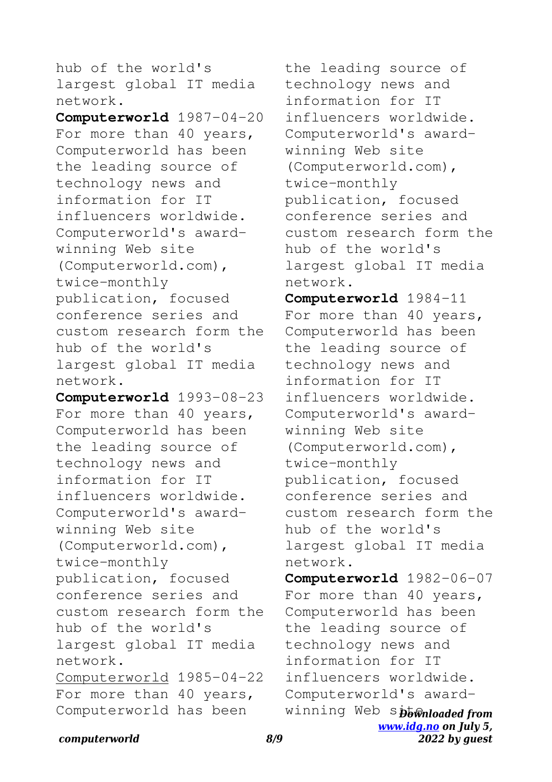hub of the world's largest global IT media network.

**Computerworld** 1987-04-20 For more than 40 years, Computerworld has been the leading source of technology news and information for IT influencers worldwide. Computerworld's awardwinning Web site (Computerworld.com), twice-monthly publication, focused conference series and custom research form the hub of the world's largest global IT media network.

**Computerworld** 1993-08-23 For more than 40 years, Computerworld has been the leading source of technology news and information for IT influencers worldwide. Computerworld's awardwinning Web site (Computerworld.com), twice-monthly publication, focused conference series and custom research form the hub of the world's largest global IT media network. Computerworld 1985-04-22 For more than 40 years, Computerworld has been

the leading source of technology news and information for IT influencers worldwide. Computerworld's awardwinning Web site (Computerworld.com), twice-monthly publication, focused conference series and custom research form the hub of the world's largest global IT media network.

**Computerworld** 1984-11 For more than 40 years, Computerworld has been the leading source of technology news and information for IT influencers worldwide. Computerworld's awardwinning Web site (Computerworld.com), twice-monthly publication, focused conference series and custom research form the hub of the world's largest global IT media network.

winning Web sptwnloaded from *[www.idg.no](http://www.idg.no) on July 5,* **Computerworld** 1982-06-07 For more than 40 years, Computerworld has been the leading source of technology news and information for IT influencers worldwide. Computerworld's award-

*2022 by guest*

#### *computerworld 8/9*